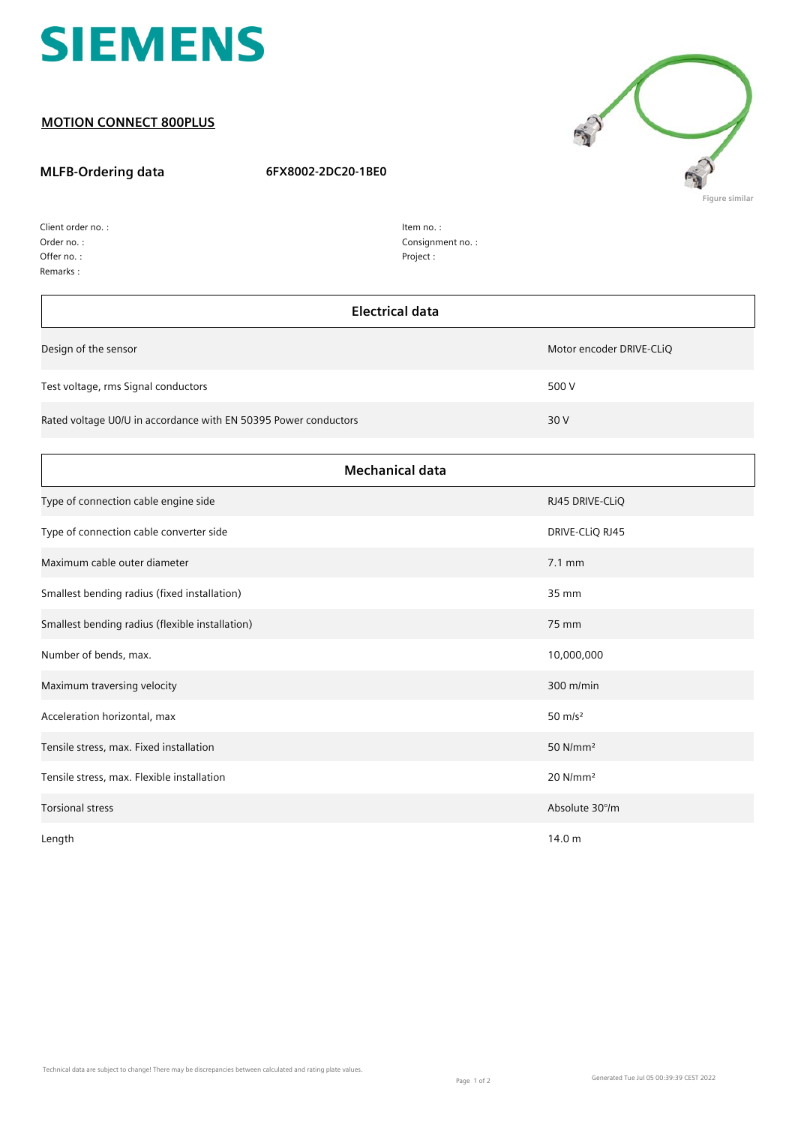

## **MOTION CONNECT 800PLUS**

## **MLFB-Ordering data 6FX8002-2DC20-1BE0**



| Client order no.: |
|-------------------|
| Order no.:        |
| Offer no.:        |
| Remarks:          |

| Item no.:        |
|------------------|
| Consignment no.: |
| Project:         |

| <b>Electrical data</b>                                          |                          |  |
|-----------------------------------------------------------------|--------------------------|--|
| Design of the sensor                                            | Motor encoder DRIVE-CLiQ |  |
| Test voltage, rms Signal conductors                             | 500 V                    |  |
| Rated voltage U0/U in accordance with EN 50395 Power conductors | 30 V                     |  |
| <b>Mechanical data</b>                                          |                          |  |
| Type of connection cable engine side                            | RJ45 DRIVE-CLIQ          |  |
| Type of connection cable converter side                         | DRIVE-CLIQ RJ45          |  |
| Maximum cable outer diameter                                    | 7.1 mm                   |  |
| Smallest bending radius (fixed installation)                    | 35 mm                    |  |
| Smallest bending radius (flexible installation)                 | 75 mm                    |  |
| Number of bends, max.                                           | 10,000,000               |  |
| Maximum traversing velocity                                     | $300$ m/min              |  |
| Acceleration horizontal, max                                    | $50 \text{ m/s}^2$       |  |
| Tensile stress, max. Fixed installation                         | 50 N/mm <sup>2</sup>     |  |
| Tensile stress, max. Flexible installation                      | $20$ N/mm <sup>2</sup>   |  |
| <b>Torsional stress</b>                                         | Absolute 30°/m           |  |
| Length                                                          | 14.0 m                   |  |